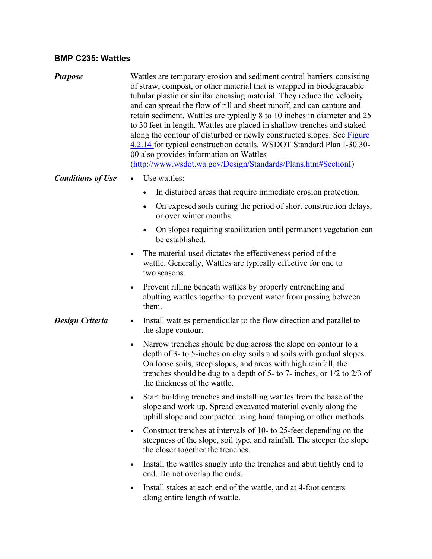## **BMP C235: Wattles**

*Purpose* Wattles are temporary erosion and sediment control barriers consisting of straw, compost, or other material that is wrapped in biodegradable tubular plastic or similar encasing material. They reduce the velocity and can spread the flow of rill and sheet runoff, and can capture and retain sediment. Wattles are typically 8 to 10 inches in diameter and 25 to 30 feet in length. Wattles are placed in shallow trenches and staked along the contour of disturbed or newly constructed slopes. See Figure 4.2.14 for typical construction details. WSDOT Standard Plan I-30.30- 00 also provides information on Wattles ([http://www.wsdot.wa.gov/Design/Standards/Plans.htm#SectionI](http://www.wsdot.wa.gov/Design/Standards/Plans.htm)) *Conditions of Use* • Use wattles: • In disturbed areas that require immediate erosion protection. On exposed soils during the period of short construction delays, or over winter months. On slopes requiring stabilization until permanent vegetation can be established. The material used dictates the effectiveness period of the wattle. Generally, Wattles are typically effective for one to two seasons. • Prevent rilling beneath wattles by properly entrenching and abutting wattles together to prevent water from passing between them. *Design Criteria* . Install wattles perpendicular to the flow direction and parallel to the slope contour. • Narrow trenches should be dug across the slope on contour to a depth of 3- to 5-inches on clay soils and soils with gradual slopes. On loose soils, steep slopes, and areas with high rainfall, the trenches should be dug to a depth of 5- to 7- inches, or 1/2 to 2/3 of the thickness of the wattle. Start building trenches and installing wattles from the base of the slope and work up. Spread excavated material evenly along the uphill slope and compacted using hand tamping or other methods. • Construct trenches at intervals of 10- to 25-feet depending on the steepness of the slope, soil type, and rainfall. The steeper the slope the closer together the trenches. • Install the wattles snugly into the trenches and abut tightly end to end. Do not overlap the ends. • Install stakes at each end of the wattle, and at 4-foot centers along entire length of wattle.